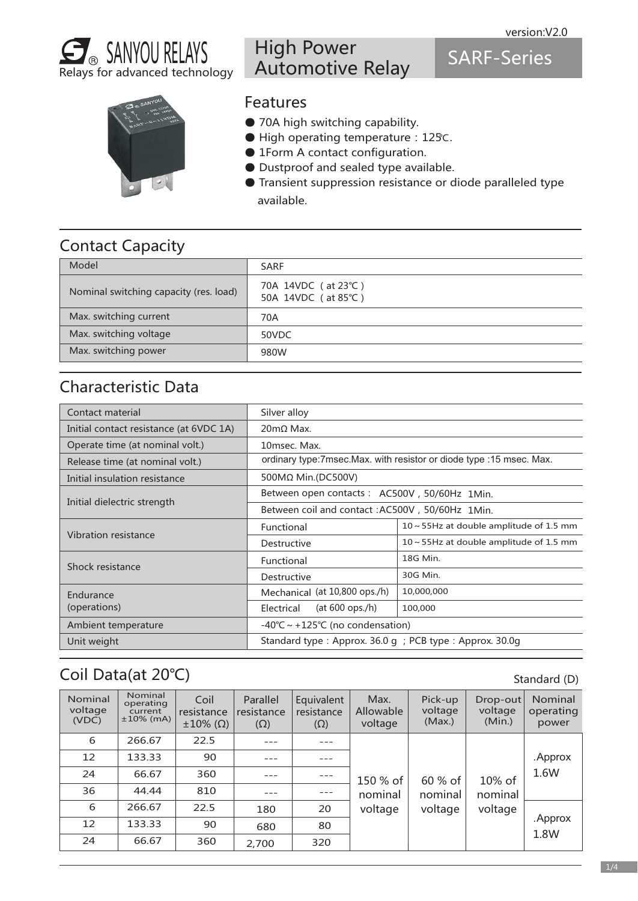



# High Power Automotive Relay

SARF-Series



#### Features

- 70A high switching capability.
- High operating temperature: 125℃.
- 1Form A contact configuration.
- Dustproof and sealed type available.
- Transient suppression resistance or diode paralleled type available.

# Contact Capacity

| Model                                  | <b>SARF</b>                                |
|----------------------------------------|--------------------------------------------|
| Nominal switching capacity (res. load) | 70A 14VDC (at 23°C)<br>50A 14VDC (at 85°C) |
| Max. switching current                 | 70A                                        |
| Max. switching voltage                 | 50VDC                                      |
| Max. switching power                   | 980W                                       |

#### Characteristic Data

| Contact material                        | Silver alloy                                                        |                                               |  |  |  |  |
|-----------------------------------------|---------------------------------------------------------------------|-----------------------------------------------|--|--|--|--|
| Initial contact resistance (at 6VDC 1A) | $20 \text{m}\Omega$ Max.                                            |                                               |  |  |  |  |
| Operate time (at nominal volt.)         | 10msec. Max.                                                        |                                               |  |  |  |  |
| Release time (at nominal volt.)         | ordinary type:7msec.Max. with resistor or diode type :15 msec. Max. |                                               |  |  |  |  |
| Initial insulation resistance           | 500MΩ Min.(DC500V)                                                  |                                               |  |  |  |  |
|                                         | Between open contacts : AC500V, 50/60Hz 1Min.                       |                                               |  |  |  |  |
| Initial dielectric strength             | Between coil and contact: AC500V, 50/60Hz 1Min.                     |                                               |  |  |  |  |
|                                         | Functional                                                          | $10 \sim 55$ Hz at double amplitude of 1.5 mm |  |  |  |  |
| Vibration resistance                    | Destructive                                                         | $10 \sim 55$ Hz at double amplitude of 1.5 mm |  |  |  |  |
| Shock resistance                        | Functional                                                          | 18G Min.                                      |  |  |  |  |
|                                         | Destructive                                                         | 30G Min.                                      |  |  |  |  |
| Endurance                               | Mechanical (at 10,800 ops./h)                                       | 10,000,000                                    |  |  |  |  |
| (operations)                            | (at $600$ ops./h)<br>Electrical                                     | 100,000                                       |  |  |  |  |
| Ambient temperature                     | $-40^{\circ}$ C ~ +125°C (no condensation)                          |                                               |  |  |  |  |
| Unit weight                             | Standard type: Approx. $36.0$ g; PCB type: Approx. $30.0$ g         |                                               |  |  |  |  |

## Coil Data(at 20℃)

6 12 24 36 6 12 24 266.67 133.33 66.67 44.44 266.67 133.33 66.67 22.5 90 360 810 22.5 90 360 --- --- --- --- 180 680 2,700 --- --- --- --- 20 80 320 150 % of nominal voltage 60 % of nominal voltage 10% of nominal voltage .Approx 1.8W .Approx 1.6W Nominal voltage (VDC) Parallel resistance  $(\Omega)$ Equivalent resistance (Ω) Nominal operating current ±10% (mA) Coil resistance ±10% (Ω) Pick-up voltage (Max.) Drop-out voltage (Min.) Nominal operating power Max. Allowable voltage

Standard (D)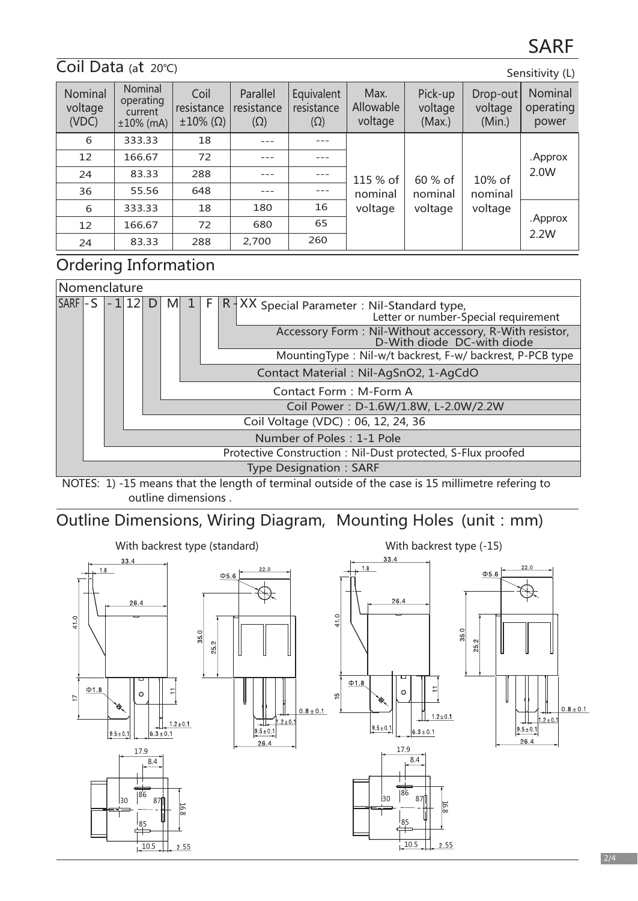#### Coil Data (at 20℃)

| Sensitivity (L) |  |
|-----------------|--|
|                 |  |

| Nominal<br>voltage<br>(VDC) | Nominal<br>operating<br>current<br>$±10\%$ (mA) | Coil<br>resistance<br>$\pm 10\%$ ( $\Omega$ ) | Parallel<br>resistance<br>$(\Omega)$ | Equivalent<br>resistance<br>$(\Omega)$ | Max.<br>Allowable<br>voltage | Pick-up<br>voltage<br>(Max.)            | Drop-out<br>voltage<br>(Min.) | Nominal<br>operating<br>power |
|-----------------------------|-------------------------------------------------|-----------------------------------------------|--------------------------------------|----------------------------------------|------------------------------|-----------------------------------------|-------------------------------|-------------------------------|
| 6                           | 333.33                                          | 18                                            |                                      |                                        |                              | 60 % of<br>10% of<br>nominal<br>nominal |                               |                               |
| 12                          | 166.67                                          | 72                                            |                                      |                                        |                              |                                         | voltage                       | . Approx                      |
| 24                          | 83.33                                           | 288                                           |                                      | $---$                                  | 115 % of                     |                                         |                               | 2.0W                          |
| 36                          | 55.56                                           | 648                                           |                                      | $- - -$                                | nominal                      |                                         |                               |                               |
| 6                           | 333.33                                          | 18                                            | 180                                  | 16                                     | voltage                      | voltage                                 |                               |                               |
| 12                          | 166.67                                          | 72                                            | 680                                  | 65                                     |                              |                                         |                               | . Approx                      |
| 24                          | 83.33                                           | 288                                           | 2,700                                | 260                                    |                              |                                         |                               | 2.2W                          |

### Ordering Information



NOTES: 1) -15 means that the length of terminal outside of the case is 15 millimetre refering to outline dimensions .

#### Outline Dimensions, Wiring Diagram, Mounting Holes (unit: mm)

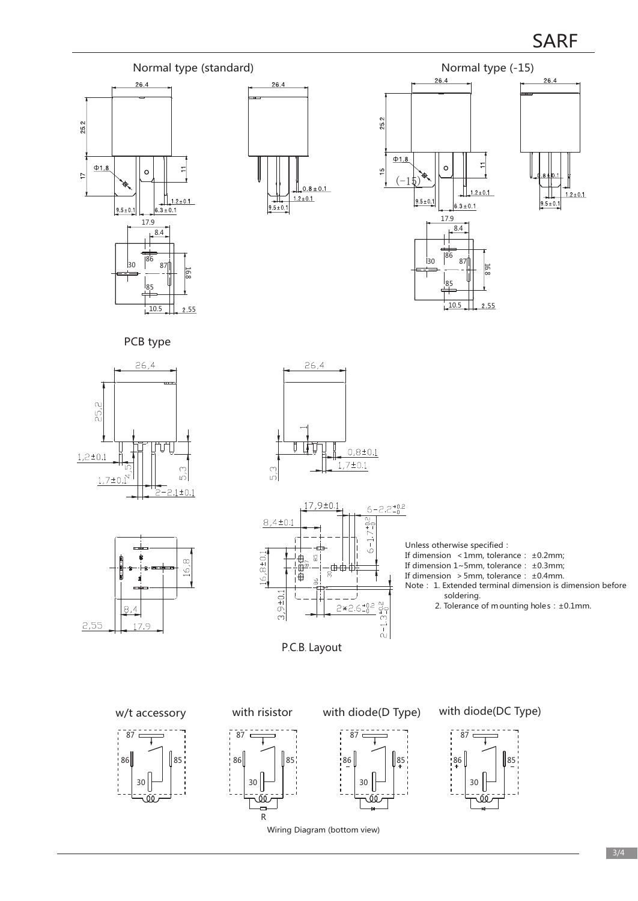